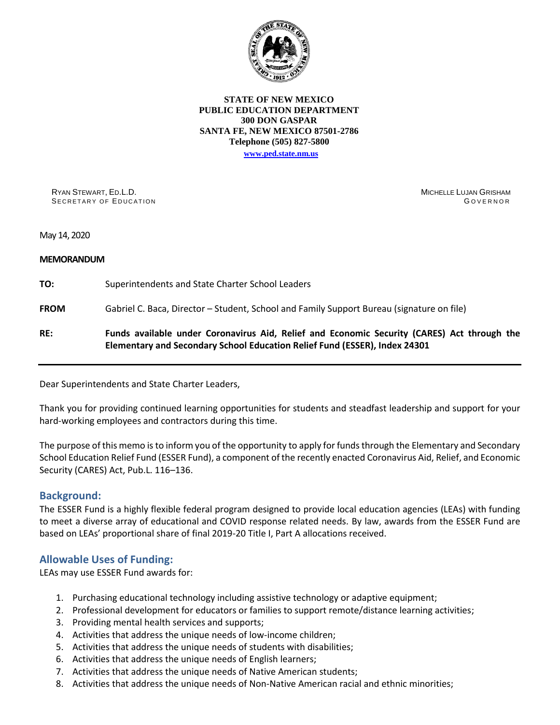

#### **STATE OF NEW MEXICO PUBLIC EDUCATION DEPARTMENT 300 DON GASPAR SANTA FE, NEW MEXICO 87501-2786 Telephone (505) 827-5800 [www.ped.state.nm.us](http://webnew.ped.state.nm.us/)**

RYAN STEWART, ED.L.D. SECRETARY OF EDUCATION MICHELLE LUJAN GRISHAM **GOVERNOR** 

May 14, 2020

#### **MEMORANDUM**

**TO:** Superintendents and State Charter School Leaders

**FROM** Gabriel C. Baca, Director – Student, School and Family Support Bureau (signature on file)

# **RE: Funds available under Coronavirus Aid, Relief and Economic Security (CARES) Act through the Elementary and Secondary School Education Relief Fund (ESSER), Index 24301**

Dear Superintendents and State Charter Leaders,

Thank you for providing continued learning opportunities for students and steadfast leadership and support for your hard-working employees and contractors during this time.

The purpose of this memo is to inform you of the opportunity to apply for funds through the Elementary and Secondary School Education Relief Fund (ESSER Fund), a component of the recently enacted Coronavirus Aid, Relief, and Economic Security (CARES) Act, Pub.L. 116–136.

#### **Background:**

The ESSER Fund is a highly flexible federal program designed to provide local education agencies (LEAs) with funding to meet a diverse array of educational and COVID response related needs. By law, awards from the ESSER Fund are based on LEAs' proportional share of final 2019-20 Title I, Part A allocations received.

# **Allowable Uses of Funding:**

LEAs may use ESSER Fund awards for:

- 1. Purchasing educational technology including assistive technology or adaptive equipment;
- 2. Professional development for educators or families to support remote/distance learning activities;
- 3. Providing mental health services and supports;
- 4. Activities that address the unique needs of low-income children;
- 5. Activities that address the unique needs of students with disabilities;
- 6. Activities that address the unique needs of English learners;
- 7. Activities that address the unique needs of Native American students;
- 8. Activities that address the unique needs of Non-Native American racial and ethnic minorities;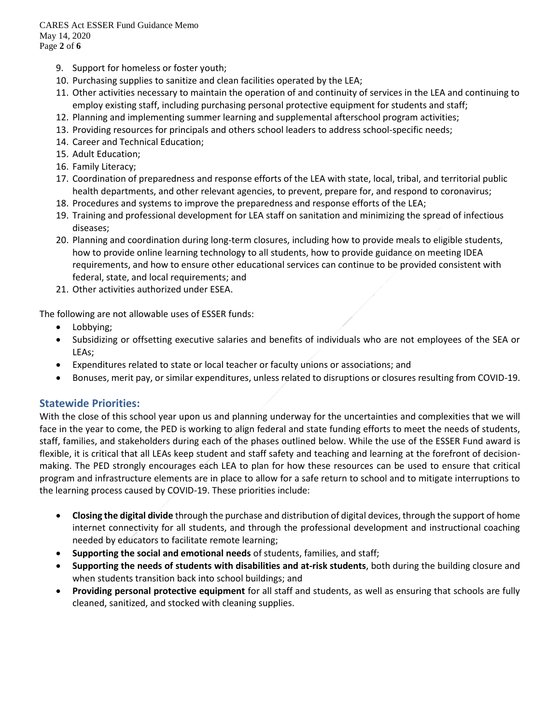CARES Act ESSER Fund Guidance Memo May 14, 2020 Page **2** of **6**

- 9. Support for homeless or foster youth;
- 10. Purchasing supplies to sanitize and clean facilities operated by the LEA;
- 11. Other activities necessary to maintain the operation of and continuity of services in the LEA and continuing to employ existing staff, including purchasing personal protective equipment for students and staff;
- 12. Planning and implementing summer learning and supplemental afterschool program activities;
- 13. Providing resources for principals and others school leaders to address school-specific needs;
- 14. Career and Technical Education;
- 15. Adult Education;
- 16. Family Literacy;
- 17. Coordination of preparedness and response efforts of the LEA with state, local, tribal, and territorial public health departments, and other relevant agencies, to prevent, prepare for, and respond to coronavirus;
- 18. Procedures and systems to improve the preparedness and response efforts of the LEA;
- 19. Training and professional development for LEA staff on sanitation and minimizing the spread of infectious diseases;
- 20. Planning and coordination during long-term closures, including how to provide meals to eligible students, how to provide online learning technology to all students, how to provide guidance on meeting IDEA requirements, and how to ensure other educational services can continue to be provided consistent with federal, state, and local requirements; and
- 21. Other activities authorized under ESEA.

The following are not allowable uses of ESSER funds:

- Lobbying;
- Subsidizing or offsetting executive salaries and benefits of individuals who are not employees of the SEA or LEAs;
- Expenditures related to state or local teacher or faculty unions or associations; and
- Bonuses, merit pay, or similar expenditures, unless related to disruptions or closures resulting from COVID-19.

# **Statewide Priorities:**

With the close of this school year upon us and planning underway for the uncertainties and complexities that we will face in the year to come, the PED is working to align federal and state funding efforts to meet the needs of students, staff, families, and stakeholders during each of the phases outlined below. While the use of the ESSER Fund award is flexible, it is critical that all LEAs keep student and staff safety and teaching and learning at the forefront of decisionmaking. The PED strongly encourages each LEA to plan for how these resources can be used to ensure that critical program and infrastructure elements are in place to allow for a safe return to school and to mitigate interruptions to the learning process caused by COVID-19. These priorities include:

- **Closing the digital divide** through the purchase and distribution of digital devices, through the support of home internet connectivity for all students, and through the professional development and instructional coaching needed by educators to facilitate remote learning;
- **Supporting the social and emotional needs** of students, families, and staff;
- **Supporting the needs of students with disabilities and at-risk students**, both during the building closure and when students transition back into school buildings; and
- **Providing personal protective equipment** for all staff and students, as well as ensuring that schools are fully cleaned, sanitized, and stocked with cleaning supplies.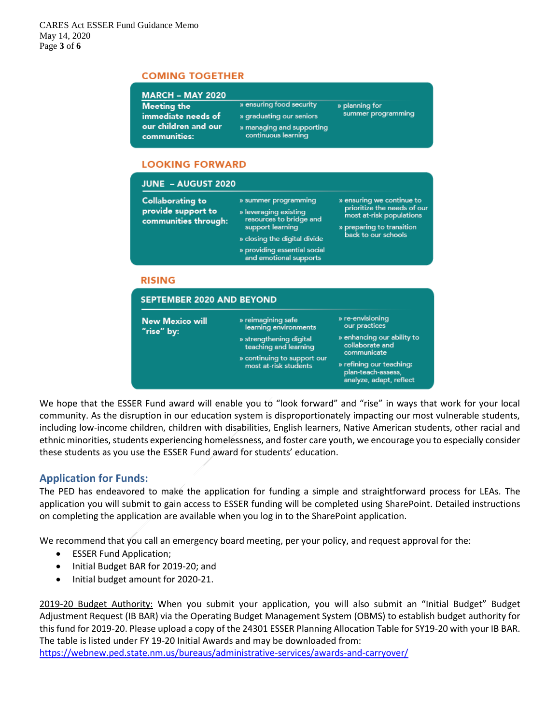## **COMING TOGETHER**

| Meeting the                          | » ensuring food security                         | » planning for<br>summer programming |
|--------------------------------------|--------------------------------------------------|--------------------------------------|
| immediate needs of                   | » graduating our seniors                         |                                      |
| our children and our<br>communities: | » managing and supporting<br>continuous learning |                                      |

## **LOOKING FORWARD**

| <b>JUNE - AUGUST 2020</b>                                             |                                                                                                                                                                                        |                                                                                                                                          |  |  |
|-----------------------------------------------------------------------|----------------------------------------------------------------------------------------------------------------------------------------------------------------------------------------|------------------------------------------------------------------------------------------------------------------------------------------|--|--|
| <b>Collaborating to</b><br>provide support to<br>communities through: | » summer programming<br>» leveraging existing<br>resources to bridge and<br>support learning<br>» closing the digital divide<br>» providing essential social<br>and emotional supports | » ensuring we continue to<br>prioritize the needs of our<br>most at-risk populations<br>» preparing to transition<br>back to our schools |  |  |
| <b>RISING</b>                                                         |                                                                                                                                                                                        |                                                                                                                                          |  |  |
| <b>SEPTEMBER 2020 AND BEYOND</b>                                      |                                                                                                                                                                                        |                                                                                                                                          |  |  |
| <b>New Mexico will</b><br>"rise" by:                                  | » reimagining safe<br>learning environments                                                                                                                                            | » re-envisioning<br>our practices                                                                                                        |  |  |
|                                                                       | » strengthening digital<br>teaching and learning                                                                                                                                       | » enhancing our ability to<br>collaborate and<br>communicate                                                                             |  |  |
|                                                                       | » continuing to support our<br>most at-risk students                                                                                                                                   | » refining our teaching:<br>plan-teach-assess,<br>analyze, adapt, reflect                                                                |  |  |

We hope that the ESSER Fund award will enable you to "look forward" and "rise" in ways that work for your local community. As the disruption in our education system is disproportionately impacting our most vulnerable students, including low-income children, children with disabilities, English learners, Native American students, other racial and ethnic minorities, students experiencing homelessness, and foster care youth, we encourage you to especially consider these students as you use the ESSER Fund award for students' education.

# **Application for Funds:**

The PED has endeavored to make the application for funding a simple and straightforward process for LEAs. The application you will submit to gain access to ESSER funding will be completed using SharePoint. Detailed instructions on completing the application are available when you log in to the SharePoint application.

We recommend that you call an emergency board meeting, per your policy, and request approval for the:

- ESSER Fund Application;
- Initial Budget BAR for 2019-20; and
- Initial budget amount for 2020-21.

2019-20 Budget Authority: When you submit your application, you will also submit an "Initial Budget" Budget Adjustment Request (IB BAR) via the Operating Budget Management System (OBMS) to establish budget authority for this fund for 2019-20. Please upload a copy of the 24301 ESSER Planning Allocation Table for SY19-20 with your IB BAR. The table is listed under FY 19-20 Initial Awards and may be downloaded from:

<https://webnew.ped.state.nm.us/bureaus/administrative-services/awards-and-carryover/>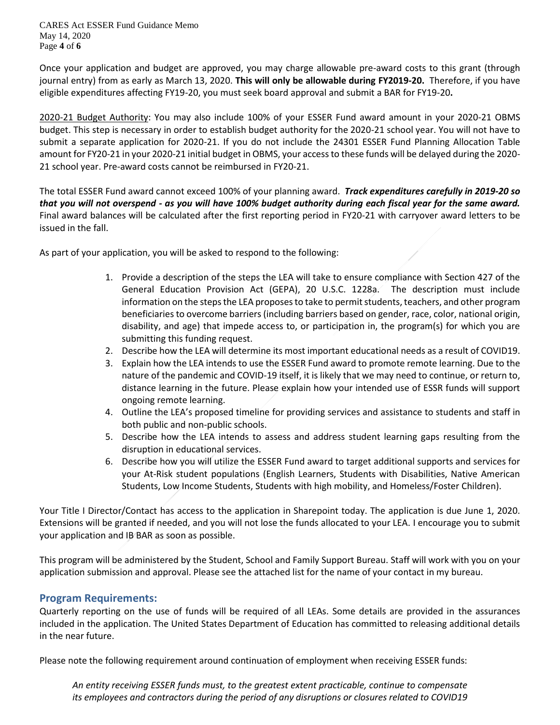CARES Act ESSER Fund Guidance Memo May 14, 2020 Page **4** of **6**

Once your application and budget are approved, you may charge allowable pre-award costs to this grant (through journal entry) from as early as March 13, 2020. **This will only be allowable during FY2019-20.** Therefore, if you have eligible expenditures affecting FY19-20, you must seek board approval and submit a BAR for FY19-20**.**

2020-21 Budget Authority: You may also include 100% of your ESSER Fund award amount in your 2020-21 OBMS budget. This step is necessary in order to establish budget authority for the 2020-21 school year. You will not have to submit a separate application for 2020-21. If you do not include the 24301 ESSER Fund Planning Allocation Table amount for FY20-21 in your 2020-21 initial budget in OBMS, your access to these funds will be delayed during the 2020- 21 school year. Pre-award costs cannot be reimbursed in FY20-21.

The total ESSER Fund award cannot exceed 100% of your planning award. *Track expenditures carefully in 2019-20 so that you will not overspend - as you will have 100% budget authority during each fiscal year for the same award.* Final award balances will be calculated after the first reporting period in FY20-21 with carryover award letters to be issued in the fall.

As part of your application, you will be asked to respond to the following:

- 1. Provide a description of the steps the LEA will take to ensure compliance with Section 427 of the General Education Provision Act (GEPA), 20 U.S.C. 1228a. The description must include information on the steps the LEA proposes to take to permit students, teachers, and other program beneficiaries to overcome barriers (including barriers based on gender, race, color, national origin, disability, and age) that impede access to, or participation in, the program(s) for which you are submitting this funding request.
- 2. Describe how the LEA will determine its most important educational needs as a result of COVID19.
- 3. Explain how the LEA intends to use the ESSER Fund award to promote remote learning. Due to the nature of the pandemic and COVID-19 itself, it is likely that we may need to continue, or return to, distance learning in the future. Please explain how your intended use of ESSR funds will support ongoing remote learning.
- 4. Outline the LEA's proposed timeline for providing services and assistance to students and staff in both public and non-public schools.
- 5. Describe how the LEA intends to assess and address student learning gaps resulting from the disruption in educational services.
- 6. Describe how you will utilize the ESSER Fund award to target additional supports and services for your At-Risk student populations (English Learners, Students with Disabilities, Native American Students, Low Income Students, Students with high mobility, and Homeless/Foster Children).

Your Title I Director/Contact has access to the application in Sharepoint today. The application is due June 1, 2020. Extensions will be granted if needed, and you will not lose the funds allocated to your LEA. I encourage you to submit your application and IB BAR as soon as possible.

This program will be administered by the Student, School and Family Support Bureau. Staff will work with you on your application submission and approval. Please see the attached list for the name of your contact in my bureau.

# **Program Requirements:**

Quarterly reporting on the use of funds will be required of all LEAs. Some details are provided in the assurances included in the application. The United States Department of Education has committed to releasing additional details in the near future.

Please note the following requirement around continuation of employment when receiving ESSER funds:

*An entity receiving ESSER funds must, to the greatest extent practicable, continue to compensate its employees and contractors during the period of any disruptions or closures related to COVID19*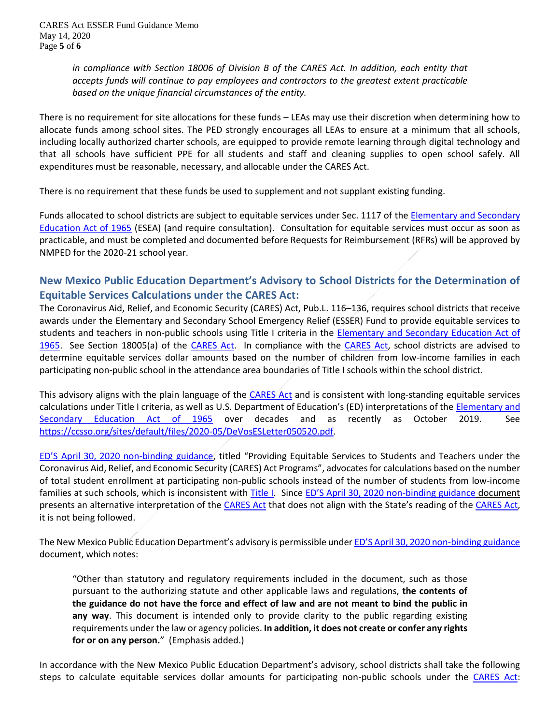*in compliance with Section 18006 of Division B of the CARES Act. In addition, each entity that accepts funds will continue to pay employees and contractors to the greatest extent practicable based on the unique financial circumstances of the entity.*

There is no requirement for site allocations for these funds – LEAs may use their discretion when determining how to allocate funds among school sites. The PED strongly encourages all LEAs to ensure at a minimum that all schools, including locally authorized charter schools, are equipped to provide remote learning through digital technology and that all schools have sufficient PPE for all students and staff and cleaning supplies to open school safely. All expenditures must be reasonable, necessary, and allocable under the CARES Act.

There is no requirement that these funds be used to supplement and not supplant existing funding.

Funds allocated to school districts are subject to equitable services under Sec. 1117 of the Elementary and Secondary [Education Act of 1965](https://www2.ed.gov/documents/essa-act-of-1965.pdf) (ESEA) (and require consultation). Consultation for equitable services must occur as soon as practicable, and must be completed and documented before Requests for Reimbursement (RFRs) will be approved by NMPED for the 2020-21 school year.

# **New Mexico Public Education Department's Advisory to School Districts for the Determination of Equitable Services Calculations under the CARES Act:**

The Coronavirus Aid, Relief, and Economic Security (CARES) Act, Pub.L. 116–136, requires school districts that receive awards under the Elementary and Secondary School Emergency Relief (ESSER) Fund to provide equitable services to students and teachers in non-public schools using Title I criteria in the [Elementary and Secondary Education Act of](https://www2.ed.gov/documents/essa-act-of-1965.pdf)  [1965.](https://www2.ed.gov/documents/essa-act-of-1965.pdf) See Section 18005(a) of the [CARES Act.](https://assets.documentcloud.org/documents/6819239/FINAL-FINAL-CARES-ACT.pdf) In compliance with the [CARES Act,](https://assets.documentcloud.org/documents/6819239/FINAL-FINAL-CARES-ACT.pdf) school districts are advised to determine equitable services dollar amounts based on the number of children from low-income families in each participating non-public school in the attendance area boundaries of Title I schools within the school district.

This advisory aligns with the plain language of the [CARES Act](https://assets.documentcloud.org/documents/6819239/FINAL-FINAL-CARES-ACT.pdf) and is consistent with long-standing equitable services calculations under Title I criteria, as well as U.S. Department of Education's (ED) interpretations of the [Elementary and](https://www2.ed.gov/documents/essa-act-of-1965.pdf)  [Secondary Education Act of 1965](https://www2.ed.gov/documents/essa-act-of-1965.pdf) over decades and as recently as October 2019. See [https://ccsso.org/sites/default/files/2020-05/DeVosESLetter050520.pdf.](https://ccsso.org/sites/default/files/2020-05/DeVosESLetter050520.pdf)

[ED'S April 30, 2020 non](https://oese.ed.gov/files/2020/04/FAQs-Equitable-Services.pdf)-binding guidance, titled "Providing Equitable Services to Students and Teachers under the Coronavirus Aid, Relief, and Economic Security (CARES) Act Programs", advocates for calculations based on the number of total student enrollment at participating non-public schools instead of the number of students from low-income families at such schools, which is inconsistent with [Title I.](https://www2.ed.gov/documents/essa-act-of-1965.pdf) Since [ED'S April 30, 2020 non](https://oese.ed.gov/files/2020/04/FAQs-Equitable-Services.pdf)-binding guidance document presents an alternative interpretation of the [CARES Act](https://assets.documentcloud.org/documents/6819239/FINAL-FINAL-CARES-ACT.pdf) that does not align with the State's reading of the [CARES Act,](https://assets.documentcloud.org/documents/6819239/FINAL-FINAL-CARES-ACT.pdf) it is not being followed.

The New Mexico Public Education Department's advisory is permissible unde[r ED'S April 30, 2020 non](https://oese.ed.gov/files/2020/04/FAQs-Equitable-Services.pdf)-binding guidance document, which notes:

"Other than statutory and regulatory requirements included in the document, such as those pursuant to the authorizing statute and other applicable laws and regulations, **the contents of the guidance do not have the force and effect of law and are not meant to bind the public in any way**. This document is intended only to provide clarity to the public regarding existing requirements under the law or agency policies. **In addition, it does not create or confer any rights for or on any person.**" (Emphasis added.)

In accordance with the New Mexico Public Education Department's advisory, school districts shall take the following steps to calculate equitable services dollar amounts for participating non-public schools under the [CARES Act:](https://assets.documentcloud.org/documents/6819239/FINAL-FINAL-CARES-ACT.pdf)